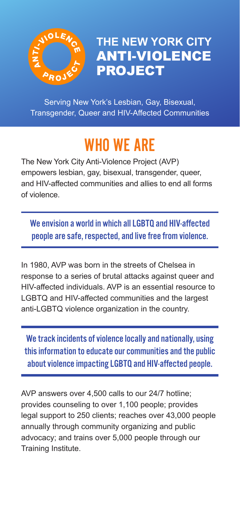

**THE NEW YORK CITY** ANTI-VIOLENCE PROJECT

Serving New York's Lesbian, Gay, Bisexual, Transgender, Queer and HIV-Affected Communities

## WHO WE ARE

The New York City Anti-Violence Project (AVP) empowers lesbian, gay, bisexual, transgender, queer, and HIV-affected communities and allies to end all forms of violence.

We envision a world in which all LGBTQ and HIV-affected people are safe, respected, and live free from violence.

In 1980, AVP was born in the streets of Chelsea in response to a series of brutal attacks against queer and HIV-affected individuals. AVP is an essential resource to LGBTQ and HIV-affected communities and the largest anti-LGBTQ violence organization in the country.

We track incidents of violence locally and nationally, using this information to educate our communities and the public about violence impacting LGBTQ and HIV-affected people.

AVP answers over 4,500 calls to our 24/7 hotline; provides counseling to over 1,100 people; provides legal support to 250 clients; reaches over 43,000 people annually through community organizing and public advocacy; and trains over 5,000 people through our Training Institute.